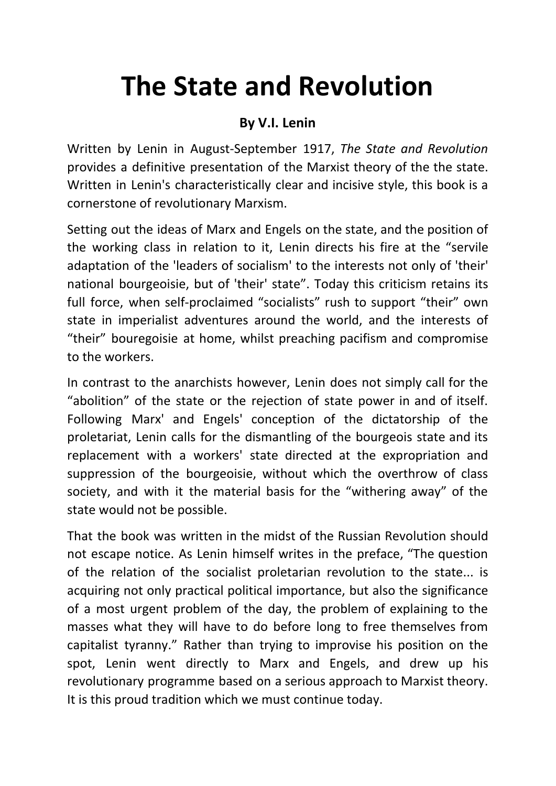# **The State and Revolution**

#### **By V.I. Lenin**

Written by Lenin in August-September 1917, *The State and Revolution* provides a definitive presentation of the Marxist theory of the the state. Written in Lenin's characteristically clear and incisive style, this book is a cornerstone of revolutionary Marxism.

Setting out the ideas of Marx and Engels on the state, and the position of the working class in relation to it, Lenin directs his fire at the "servile adaptation of the 'leaders of socialism' to the interests not only of 'their' national bourgeoisie, but of 'their' state". Today this criticism retains its full force, when self-proclaimed "socialists" rush to support "their" own state in imperialist adventures around the world, and the interests of "their" bouregoisie at home, whilst preaching pacifism and compromise to the workers.

In contrast to the anarchists however, Lenin does not simply call for the "abolition" of the state or the rejection of state power in and of itself. Following Marx' and Engels' conception of the dictatorship of the proletariat, Lenin calls for the dismantling of the bourgeois state and its replacement with a workers' state directed at the expropriation and suppression of the bourgeoisie, without which the overthrow of class society, and with it the material basis for the "withering away" of the state would not be possible.

That the book was written in the midst of the Russian Revolution should not escape notice. As Lenin himself writes in the preface, "The question of the relation of the socialist proletarian revolution to the state... is acquiring not only practical political importance, but also the significance of a most urgent problem of the day, the problem of explaining to the masses what they will have to do before long to free themselves from capitalist tyranny." Rather than trying to improvise his position on the spot, Lenin went directly to Marx and Engels, and drew up his revolutionary programme based on a serious approach to Marxist theory. It is this proud tradition which we must continue today.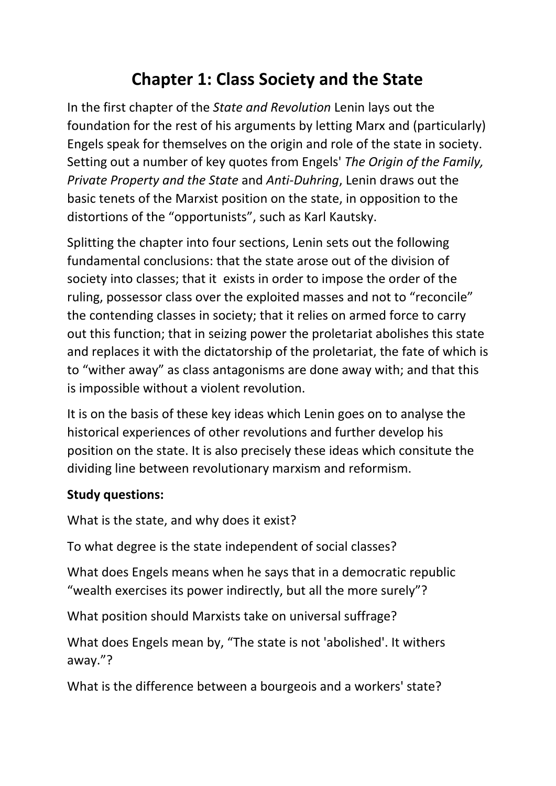### **Chapter 1: Class Society and the State**

In the first chapter of the *State and Revolution* Lenin lays out the foundation for the rest of his arguments by letting Marx and (particularly) Engels speak for themselves on the origin and role of the state in society. Setting out a number of key quotes from Engels' *The Origin of the Family, Private Property and the State* and *Anti-Duhring*, Lenin draws out the basic tenets of the Marxist position on the state, in opposition to the distortions of the "opportunists", such as Karl Kautsky.

Splitting the chapter into four sections, Lenin sets out the following fundamental conclusions: that the state arose out of the division of society into classes; that it exists in order to impose the order of the ruling, possessor class over the exploited masses and not to "reconcile" the contending classes in society; that it relies on armed force to carry out this function; that in seizing power the proletariat abolishes this state and replaces it with the dictatorship of the proletariat, the fate of which is to "wither away" as class antagonisms are done away with; and that this is impossible without a violent revolution.

It is on the basis of these key ideas which Lenin goes on to analyse the historical experiences of other revolutions and further develop his position on the state. It is also precisely these ideas which consitute the dividing line between revolutionary marxism and reformism.

#### **Study questions:**

What is the state, and why does it exist?

To what degree is the state independent of social classes?

What does Engels means when he says that in a democratic republic "wealth exercises its power indirectly, but all the more surely"?

What position should Marxists take on universal suffrage?

What does Engels mean by, "The state is not 'abolished'. It withers away."?

What is the difference between a bourgeois and a workers' state?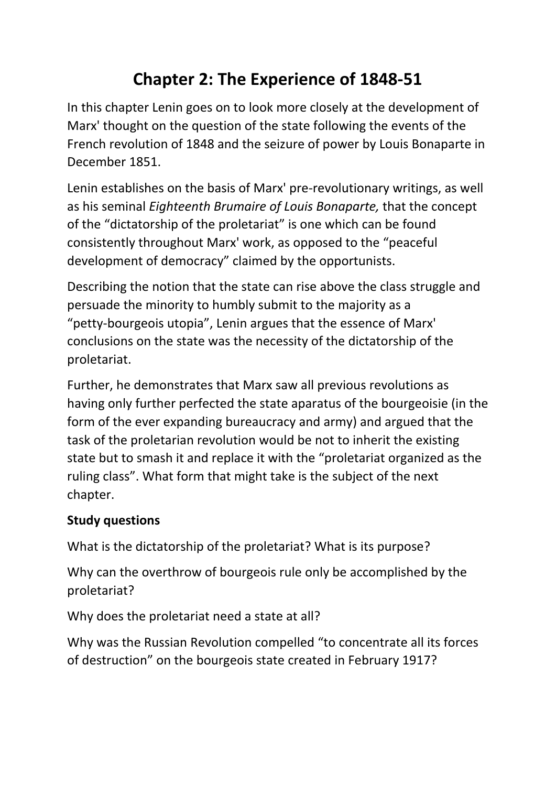### **Chapter 2: The Experience of 1848-51**

In this chapter Lenin goes on to look more closely at the development of Marx' thought on the question of the state following the events of the French revolution of 1848 and the seizure of power by Louis Bonaparte in December 1851.

Lenin establishes on the basis of Marx' pre-revolutionary writings, as well as his seminal *Eighteenth Brumaire of Louis Bonaparte,* that the concept of the "dictatorship of the proletariat" is one which can be found consistently throughout Marx' work, as opposed to the "peaceful development of democracy" claimed by the opportunists.

Describing the notion that the state can rise above the class struggle and persuade the minority to humbly submit to the majority as a "petty-bourgeois utopia", Lenin argues that the essence of Marx' conclusions on the state was the necessity of the dictatorship of the proletariat.

Further, he demonstrates that Marx saw all previous revolutions as having only further perfected the state aparatus of the bourgeoisie (in the form of the ever expanding bureaucracy and army) and argued that the task of the proletarian revolution would be not to inherit the existing state but to smash it and replace it with the "proletariat organized as the ruling class". What form that might take is the subject of the next chapter.

#### **Study questions**

What is the dictatorship of the proletariat? What is its purpose?

Why can the overthrow of bourgeois rule only be accomplished by the proletariat?

Why does the proletariat need a state at all?

Why was the Russian Revolution compelled "to concentrate all its forces of destruction" on the bourgeois state created in February 1917?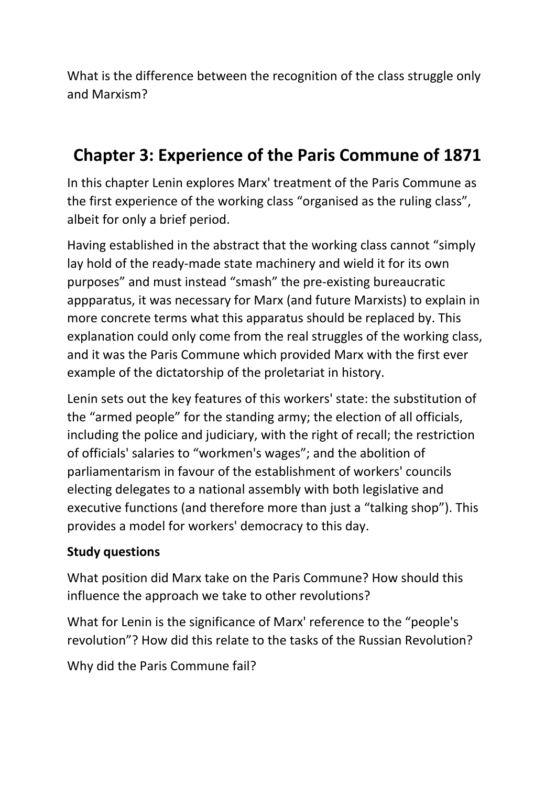What is the difference between the recognition of the class struggle only and Marxism?

### **Chapter 3: Experience of the Paris Commune of 1871**

In this chapter Lenin explores Marx' treatment of the Paris Commune as the first experience of the working class "organised as the ruling class", albeit for only a brief period.

Having established in the abstract that the working class cannot "simply lay hold of the ready-made state machinery and wield it for its own purposes" and must instead "smash" the pre-existing bureaucratic appparatus, it was necessary for Marx (and future Marxists) to explain in more concrete terms what this apparatus should be replaced by. This explanation could only come from the real struggles of the working class, and it was the Paris Commune which provided Marx with the first ever example of the dictatorship of the proletariat in history.

Lenin sets out the key features of this workers' state: the substitution of the "armed people" for the standing army; the election of all officials, including the police and judiciary, with the right of recall; the restriction of officials' salaries to "workmen's wages"; and the abolition of parliamentarism in favour of the establishment of workers' councils electing delegates to a national assembly with both legislative and executive functions (and therefore more than just a "talking shop"). This provides a model for workers' democracy to this day.

#### **Study questions**

What position did Marx take on the Paris Commune? How should this influence the approach we take to other revolutions?

What for Lenin is the significance of Marx' reference to the "people's revolution"? How did this relate to the tasks of the Russian Revolution?

Why did the Paris Commune fail?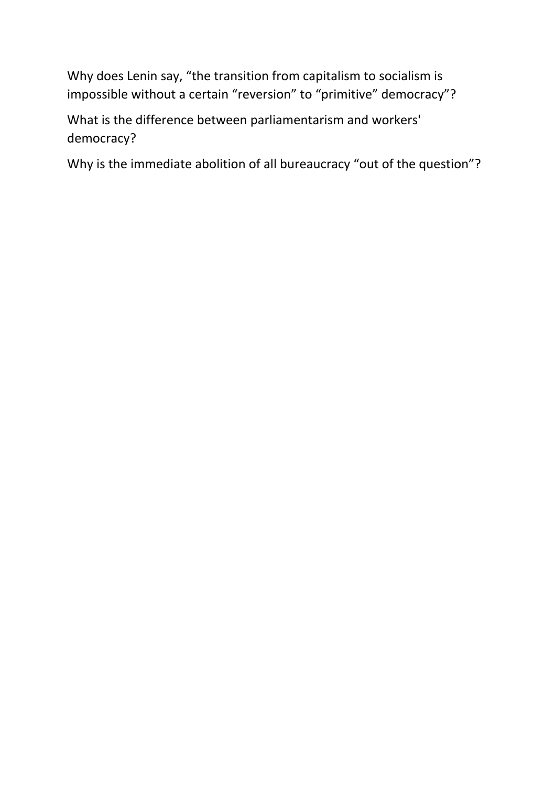Why does Lenin say, "the transition from capitalism to socialism is impossible without a certain "reversion" to "primitive" democracy"?

What is the difference between parliamentarism and workers' democracy?

Why is the immediate abolition of all bureaucracy "out of the question"?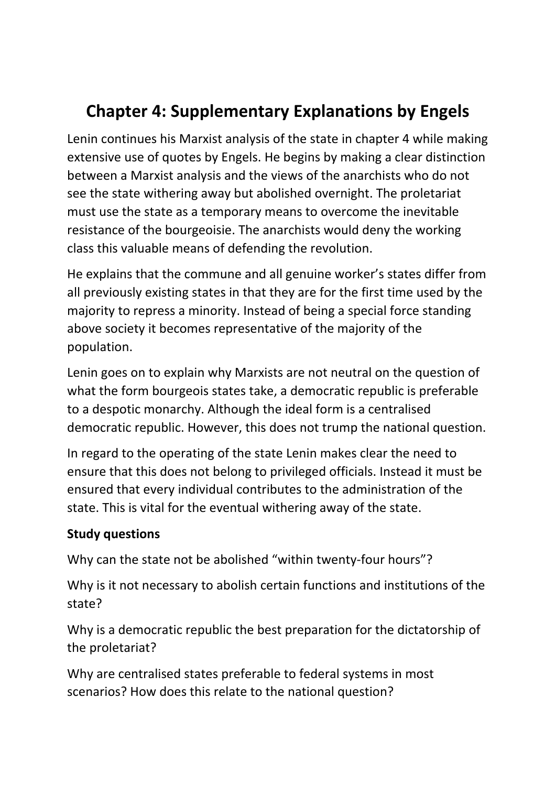# **Chapter 4: Supplementary Explanations by Engels**

Lenin continues his Marxist analysis of the state in chapter 4 while making extensive use of quotes by Engels. He begins by making a clear distinction between a Marxist analysis and the views of the anarchists who do not see the state withering away but abolished overnight. The proletariat must use the state as a temporary means to overcome the inevitable resistance of the bourgeoisie. The anarchists would deny the working class this valuable means of defending the revolution.

He explains that the commune and all genuine worker's states differ from all previously existing states in that they are for the first time used by the majority to repress a minority. Instead of being a special force standing above society it becomes representative of the majority of the population.

Lenin goes on to explain why Marxists are not neutral on the question of what the form bourgeois states take, a democratic republic is preferable to a despotic monarchy. Although the ideal form is a centralised democratic republic. However, this does not trump the national question.

In regard to the operating of the state Lenin makes clear the need to ensure that this does not belong to privileged officials. Instead it must be ensured that every individual contributes to the administration of the state. This is vital for the eventual withering away of the state.

#### **Study questions**

Why can the state not be abolished "within twenty-four hours"?

Why is it not necessary to abolish certain functions and institutions of the state?

Why is a democratic republic the best preparation for the dictatorship of the proletariat?

Why are centralised states preferable to federal systems in most scenarios? How does this relate to the national question?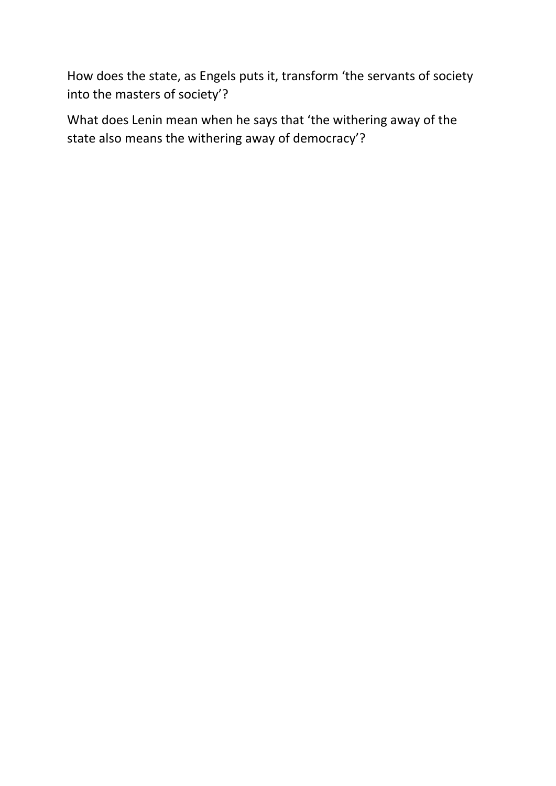How does the state, as Engels puts it, transform 'the servants of society into the masters of society'?

What does Lenin mean when he says that 'the withering away of the state also means the withering away of democracy'?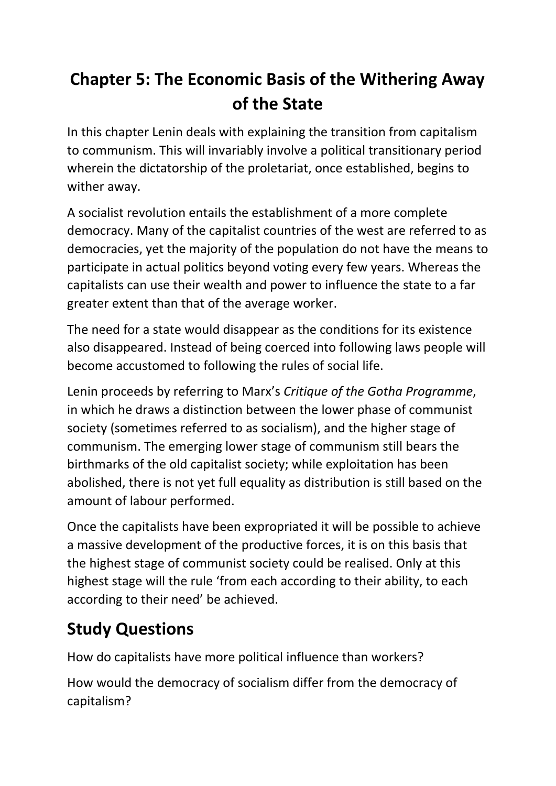# **Chapter 5: The Economic Basis of the Withering Away of the State**

In this chapter Lenin deals with explaining the transition from capitalism to communism. This will invariably involve a political transitionary period wherein the dictatorship of the proletariat, once established, begins to wither away.

A socialist revolution entails the establishment of a more complete democracy. Many of the capitalist countries of the west are referred to as democracies, yet the majority of the population do not have the means to participate in actual politics beyond voting every few years. Whereas the capitalists can use their wealth and power to influence the state to a far greater extent than that of the average worker.

The need for a state would disappear as the conditions for its existence also disappeared. Instead of being coerced into following laws people will become accustomed to following the rules of social life.

Lenin proceeds by referring to Marx's *Critique of the Gotha Programme*, in which he draws a distinction between the lower phase of communist society (sometimes referred to as socialism), and the higher stage of communism. The emerging lower stage of communism still bears the birthmarks of the old capitalist society; while exploitation has been abolished, there is not yet full equality as distribution is still based on the amount of labour performed.

Once the capitalists have been expropriated it will be possible to achieve a massive development of the productive forces, it is on this basis that the highest stage of communist society could be realised. Only at this highest stage will the rule 'from each according to their ability, to each according to their need' be achieved.

# **Study Questions**

How do capitalists have more political influence than workers?

How would the democracy of socialism differ from the democracy of capitalism?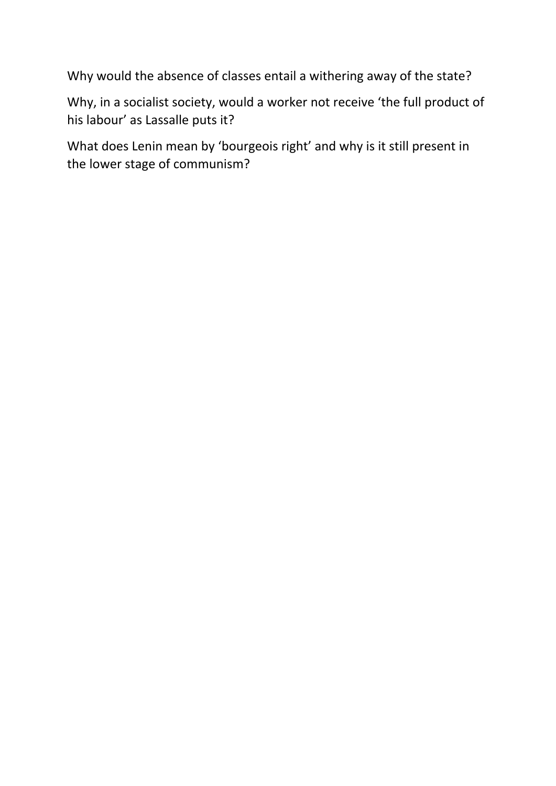Why would the absence of classes entail a withering away of the state?

Why, in a socialist society, would a worker not receive 'the full product of his labour' as Lassalle puts it?

What does Lenin mean by 'bourgeois right' and why is it still present in the lower stage of communism?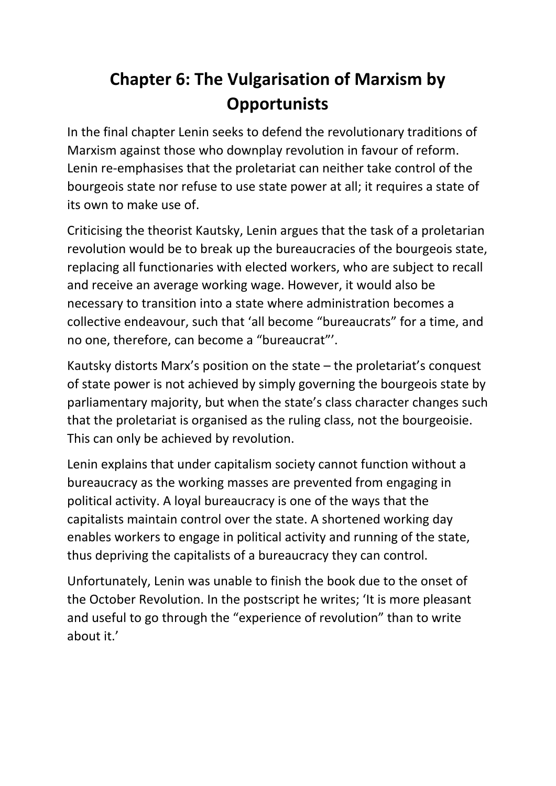# **Chapter 6: The Vulgarisation of Marxism by Opportunists**

In the final chapter Lenin seeks to defend the revolutionary traditions of Marxism against those who downplay revolution in favour of reform. Lenin re-emphasises that the proletariat can neither take control of the bourgeois state nor refuse to use state power at all; it requires a state of its own to make use of.

Criticising the theorist Kautsky, Lenin argues that the task of a proletarian revolution would be to break up the bureaucracies of the bourgeois state, replacing all functionaries with elected workers, who are subject to recall and receive an average working wage. However, it would also be necessary to transition into a state where administration becomes a collective endeavour, such that 'all become "bureaucrats" for a time, and no one, therefore, can become a "bureaucrat"'.

Kautsky distorts Marx's position on the state – the proletariat's conquest of state power is not achieved by simply governing the bourgeois state by parliamentary majority, but when the state's class character changes such that the proletariat is organised as the ruling class, not the bourgeoisie. This can only be achieved by revolution.

Lenin explains that under capitalism society cannot function without a bureaucracy as the working masses are prevented from engaging in political activity. A loyal bureaucracy is one of the ways that the capitalists maintain control over the state. A shortened working day enables workers to engage in political activity and running of the state, thus depriving the capitalists of a bureaucracy they can control.

Unfortunately, Lenin was unable to finish the book due to the onset of the October Revolution. In the postscript he writes; 'It is more pleasant and useful to go through the "experience of revolution" than to write about it.'